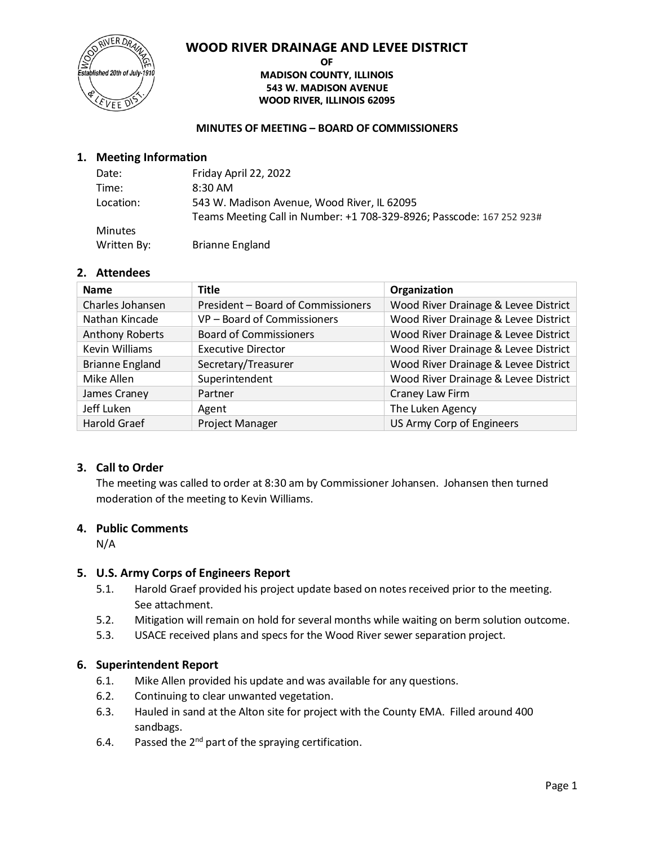# **WOOD RIVER DRAINAGE AND LEVEE DISTRICT**



#### **OF MADISON COUNTY, ILLINOIS 543 W. MADISON AVENUE WOOD RIVER, ILLINOIS 62095**

#### **MINUTES OF MEETING – BOARD OF COMMISSIONERS**

# **1. Meeting Information**

| Date:          | Friday April 22, 2022                                                 |
|----------------|-----------------------------------------------------------------------|
| Time:          | $8:30$ AM                                                             |
| Location:      | 543 W. Madison Avenue, Wood River, IL 62095                           |
|                | Teams Meeting Call in Number: +1 708-329-8926; Passcode: 167 252 923# |
| <b>Minutes</b> |                                                                       |
| Written By:    | <b>Brianne England</b>                                                |

# **2. Attendees**

| <b>Name</b>            | <b>Title</b>                       | Organization                         |
|------------------------|------------------------------------|--------------------------------------|
| Charles Johansen       | President - Board of Commissioners | Wood River Drainage & Levee District |
| Nathan Kincade         | VP - Board of Commissioners        | Wood River Drainage & Levee District |
| <b>Anthony Roberts</b> | <b>Board of Commissioners</b>      | Wood River Drainage & Levee District |
| <b>Kevin Williams</b>  | <b>Executive Director</b>          | Wood River Drainage & Levee District |
| <b>Brianne England</b> | Secretary/Treasurer                | Wood River Drainage & Levee District |
| Mike Allen             | Superintendent                     | Wood River Drainage & Levee District |
| James Craney           | Partner                            | Craney Law Firm                      |
| Jeff Luken             | Agent                              | The Luken Agency                     |
| <b>Harold Graef</b>    | Project Manager                    | US Army Corp of Engineers            |

# **3. Call to Order**

The meeting was called to order at 8:30 am by Commissioner Johansen. Johansen then turned moderation of the meeting to Kevin Williams.

# **4. Public Comments**

N/A

# **5. U.S. Army Corps of Engineers Report**

- 5.1. Harold Graef provided his project update based on notes received prior to the meeting. See attachment.
- 5.2. Mitigation will remain on hold for several months while waiting on berm solution outcome.
- 5.3. USACE received plans and specs for the Wood River sewer separation project.

# **6. Superintendent Report**

- 6.1. Mike Allen provided his update and was available for any questions.
- 6.2. Continuing to clear unwanted vegetation.
- 6.3. Hauled in sand at the Alton site for project with the County EMA. Filled around 400 sandbags.
- 6.4. Passed the  $2^{nd}$  part of the spraying certification.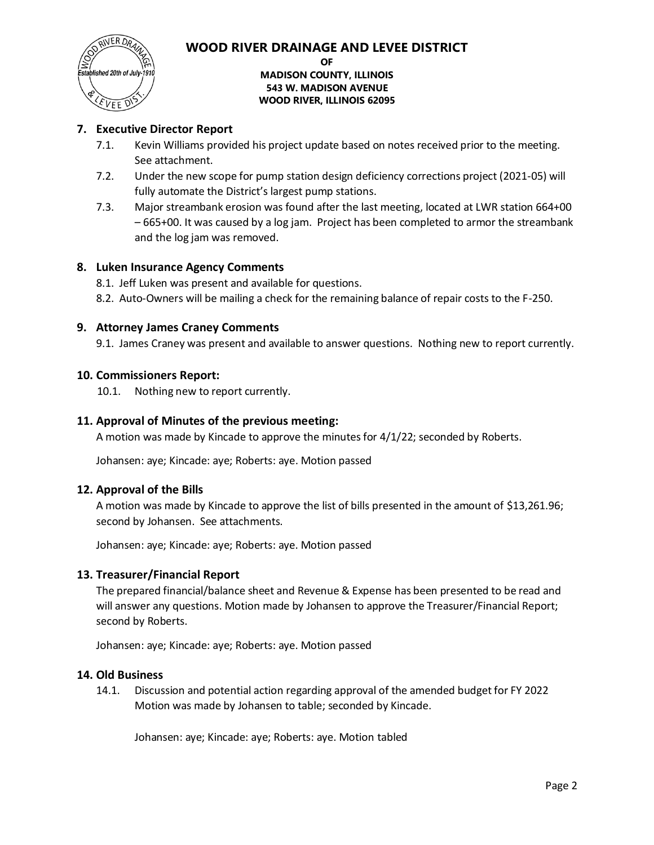

# **WOOD RIVER DRAINAGE AND LEVEE DISTRICT**

**OF**

# **MADISON COUNTY, ILLINOIS 543 W. MADISON AVENUE WOOD RIVER, ILLINOIS 62095**

# **7. Executive Director Report**

- 7.1. Kevin Williams provided his project update based on notes received prior to the meeting. See attachment.
- 7.2. Under the new scope for pump station design deficiency corrections project (2021-05) will fully automate the District's largest pump stations.
- 7.3. Major streambank erosion was found after the last meeting, located at LWR station 664+00 – 665+00. It was caused by a log jam. Project has been completed to armor the streambank and the log jam was removed.

# **8. Luken Insurance Agency Comments**

- 8.1. Jeff Luken was present and available for questions.
- 8.2. Auto-Owners will be mailing a check for the remaining balance of repair costs to the F-250.

# **9. Attorney James Craney Comments**

9.1. James Craney was present and available to answer questions. Nothing new to report currently.

# **10. Commissioners Report:**

10.1. Nothing new to report currently.

# **11. Approval of Minutes of the previous meeting:**

A motion was made by Kincade to approve the minutes for 4/1/22; seconded by Roberts.

Johansen: aye; Kincade: aye; Roberts: aye. Motion passed

# **12. Approval of the Bills**

A motion was made by Kincade to approve the list of bills presented in the amount of \$13,261.96; second by Johansen. See attachments.

Johansen: aye; Kincade: aye; Roberts: aye. Motion passed

# **13. Treasurer/Financial Report**

The prepared financial/balance sheet and Revenue & Expense has been presented to be read and will answer any questions. Motion made by Johansen to approve the Treasurer/Financial Report; second by Roberts.

Johansen: aye; Kincade: aye; Roberts: aye. Motion passed

# **14. Old Business**

14.1. Discussion and potential action regarding approval of the amended budget for FY 2022 Motion was made by Johansen to table; seconded by Kincade.

Johansen: aye; Kincade: aye; Roberts: aye. Motion tabled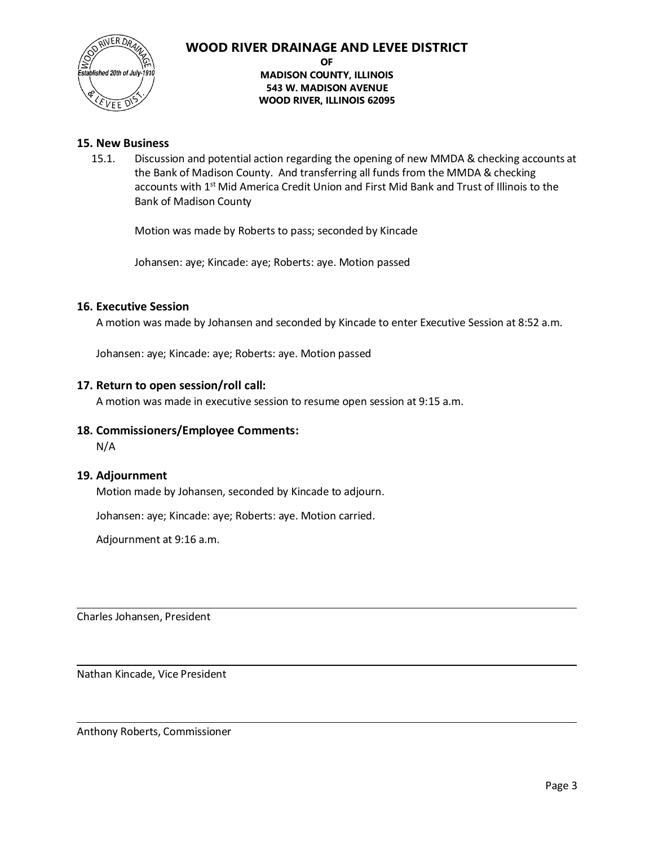

# **WOOD RIVER DRAINAGE AND LEVEE DISTRICT**

#### **OF**

**MADISON COUNTY, ILLINOIS 543 W. MADISON AVENUE WOOD RIVER, ILLINOIS 62095**

# **15. New Business**

15.1. Discussion and potential action regarding the opening of new MMDA & checking accounts at the Bank of Madison County. And transferring all funds from the MMDA & checking accounts with 1<sup>st</sup> Mid America Credit Union and First Mid Bank and Trust of Illinois to the Bank of Madison County

Motion was made by Roberts to pass; seconded by Kincade

Johansen: aye; Kincade: aye; Roberts: aye. Motion passed

#### **16. Executive Session**

A motion was made by Johansen and seconded by Kincade to enter Executive Session at 8:52 a.m.

Johansen: aye; Kincade: aye; Roberts: aye. Motion passed

#### **17. Return to open session/roll call:**

A motion was made in executive session to resume open session at 9:15 a.m.

# **18. Commissioners/Employee Comments:**

N/A

# **19. Adjournment**

Motion made by Johansen, seconded by Kincade to adjourn.

Johansen: aye; Kincade: aye; Roberts: aye. Motion carried.

Adjournment at 9:16 a.m.

Charles Johansen, President

Nathan Kincade, Vice President

Anthony Roberts, Commissioner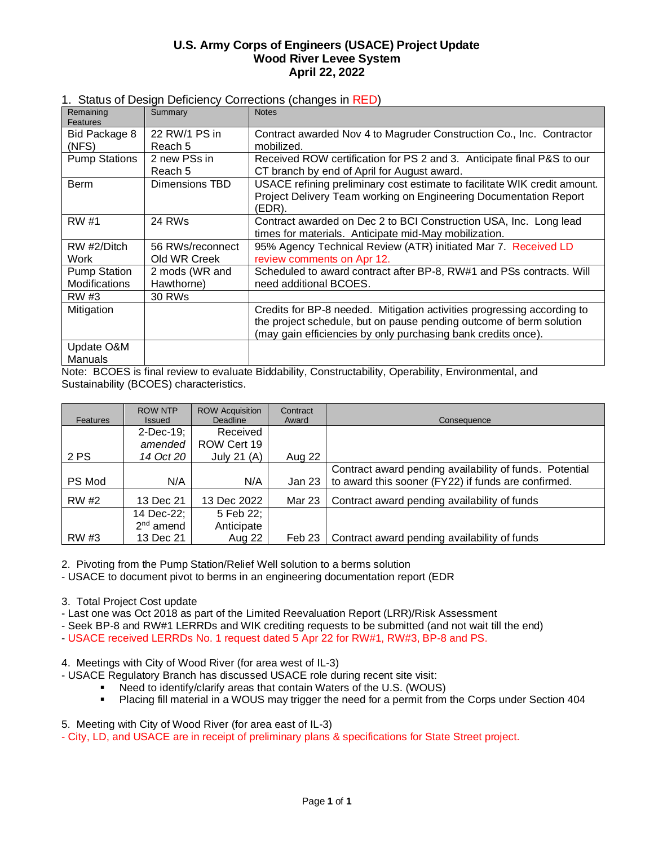# **U.S. Army Corps of Engineers (USACE) Project Update Wood River Levee System April 22, 2022**

| 1. Status of Design Deficiency Corrections (changes in RED) |
|-------------------------------------------------------------|
|-------------------------------------------------------------|

| Remaining<br>Features                | Summary                          | <b>Notes</b>                                                                                                                                                                                                    |
|--------------------------------------|----------------------------------|-----------------------------------------------------------------------------------------------------------------------------------------------------------------------------------------------------------------|
| Bid Package 8                        | 22 RW/1 PS in                    | Contract awarded Nov 4 to Magruder Construction Co., Inc. Contractor                                                                                                                                            |
| (NFS)                                | Reach 5                          | mobilized.                                                                                                                                                                                                      |
| <b>Pump Stations</b>                 | 2 new PSs in<br>Reach 5          | Received ROW certification for PS 2 and 3. Anticipate final P&S to our<br>CT branch by end of April for August award.                                                                                           |
| Berm                                 | Dimensions TBD                   | USACE refining preliminary cost estimate to facilitate WIK credit amount.<br>Project Delivery Team working on Engineering Documentation Report<br>(EDR).                                                        |
| RW #1                                | 24 RWs                           | Contract awarded on Dec 2 to BCI Construction USA, Inc. Long lead<br>times for materials. Anticipate mid-May mobilization.                                                                                      |
| RW #2/Ditch<br>Work                  | 56 RWs/reconnect<br>Old WR Creek | 95% Agency Technical Review (ATR) initiated Mar 7. Received LD<br>review comments on Apr 12.                                                                                                                    |
| <b>Pump Station</b><br>Modifications | 2 mods (WR and<br>Hawthorne)     | Scheduled to award contract after BP-8, RW#1 and PSs contracts. Will<br>need additional BCOES.                                                                                                                  |
| RW #3                                | 30 RWs                           |                                                                                                                                                                                                                 |
| Mitigation                           |                                  | Credits for BP-8 needed. Mitigation activities progressing according to<br>the project schedule, but on pause pending outcome of berm solution<br>(may gain efficiencies by only purchasing bank credits once). |
| Update O&M                           |                                  |                                                                                                                                                                                                                 |
| Manuals                              |                                  | $\sim$ $\sim$ $\sim$                                                                                                                                                                                            |

Note: BCOES is final review to evaluate Biddability, Constructability, Operability, Environmental, and Sustainability (BCOES) characteristics.

| Features     | <b>ROW NTP</b><br><b>Issued</b> | <b>ROW Acquisition</b><br><b>Deadline</b> | Contract<br>Award | Consequence                                             |
|--------------|---------------------------------|-------------------------------------------|-------------------|---------------------------------------------------------|
|              | 2-Dec-19;                       | Received                                  |                   |                                                         |
|              | amended                         | ROW Cert 19                               |                   |                                                         |
| 2 PS         | 14 Oct 20                       | July 21 $(A)$                             | Aug 22            |                                                         |
|              |                                 |                                           |                   | Contract award pending availability of funds. Potential |
| PS Mod       | N/A                             | N/A                                       | Jan 23            | to award this sooner (FY22) if funds are confirmed.     |
| <b>RW #2</b> | 13 Dec 21                       | 13 Dec 2022                               | Mar 23            | Contract award pending availability of funds            |
|              | 14 Dec-22;                      | 5 Feb 22;                                 |                   |                                                         |
|              | $2nd$ amend                     | Anticipate                                |                   |                                                         |
| RW #3        | 13 Dec 21                       | Aug 22                                    | Feb 23            | Contract award pending availability of funds            |

2. Pivoting from the Pump Station/Relief Well solution to a berms solution

- USACE to document pivot to berms in an engineering documentation report (EDR

3. Total Project Cost update

- Last one was Oct 2018 as part of the Limited Reevaluation Report (LRR)/Risk Assessment

- Seek BP-8 and RW#1 LERRDs and WIK crediting requests to be submitted (and not wait till the end)

- USACE received LERRDs No. 1 request dated 5 Apr 22 for RW#1, RW#3, BP-8 and PS.

4. Meetings with City of Wood River (for area west of IL-3)

- USACE Regulatory Branch has discussed USACE role during recent site visit:

- Need to identify/clarify areas that contain Waters of the U.S. (WOUS)
- Placing fill material in a WOUS may trigger the need for a permit from the Corps under Section 404

5. Meeting with City of Wood River (for area east of IL-3)

- City, LD, and USACE are in receipt of preliminary plans & specifications for State Street project.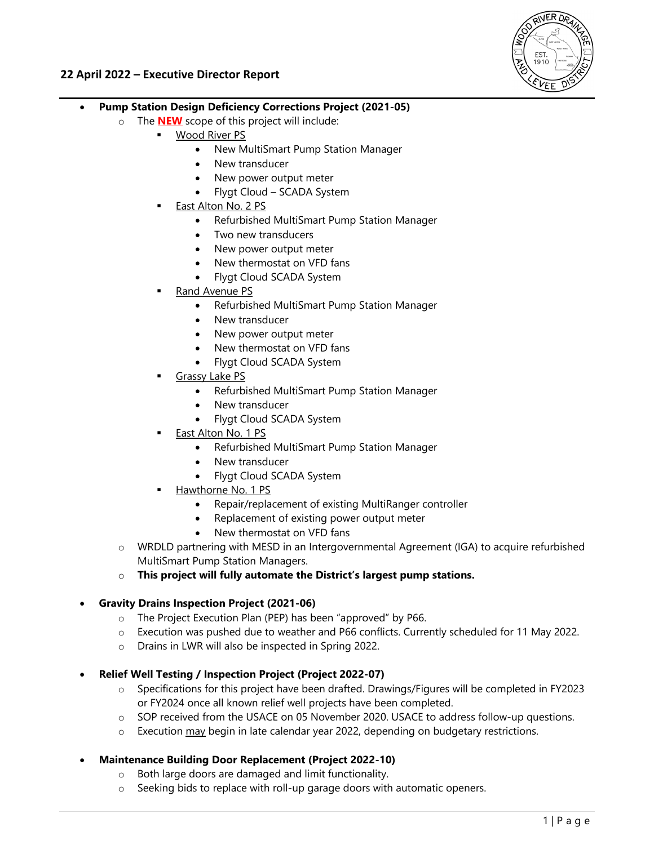

# **22 April 2022 – Executive Director Report**

- **Pump Station Design Deficiency Corrections Project (2021-05)** 
	- o The **NEW** scope of this project will include:
		- Wood River PS
			- New MultiSmart Pump Station Manager
			- New transducer
			- New power output meter
			- Flygt Cloud SCADA System
		- East Alton No. 2 PS
			- Refurbished MultiSmart Pump Station Manager
			- Two new transducers
			- New power output meter
			- New thermostat on VFD fans
			- Flygt Cloud SCADA System
		- Rand Avenue PS
			- Refurbished MultiSmart Pump Station Manager
			- New transducer
			- New power output meter
			- New thermostat on VFD fans
			- Flygt Cloud SCADA System
		- Grassy Lake PS
			- Refurbished MultiSmart Pump Station Manager
			- New transducer
			- Flygt Cloud SCADA System
		- East Alton No. 1 PS
			- Refurbished MultiSmart Pump Station Manager
			- New transducer
			- Flygt Cloud SCADA System
		- Hawthorne No. 1 PS
			- Repair/replacement of existing MultiRanger controller
			- Replacement of existing power output meter
			- New thermostat on VFD fans
	- o WRDLD partnering with MESD in an Intergovernmental Agreement (IGA) to acquire refurbished MultiSmart Pump Station Managers.
	- o **This project will fully automate the District's largest pump stations.**

# **Gravity Drains Inspection Project (2021-06)**

- o The Project Execution Plan (PEP) has been "approved" by P66.
- o Execution was pushed due to weather and P66 conflicts. Currently scheduled for 11 May 2022.
- o Drains in LWR will also be inspected in Spring 2022.
- **Relief Well Testing / Inspection Project (Project 2022-07)** 
	- o Specifications for this project have been drafted. Drawings/Figures will be completed in FY2023 or FY2024 once all known relief well projects have been completed.
	- o SOP received from the USACE on 05 November 2020. USACE to address follow-up questions.
	- $\circ$  Execution  $\frac{\text{may}}{\text{begin}}$  in late calendar year 2022, depending on budgetary restrictions.
- **Maintenance Building Door Replacement (Project 2022-10)** 
	- o Both large doors are damaged and limit functionality.
	- o Seeking bids to replace with roll-up garage doors with automatic openers.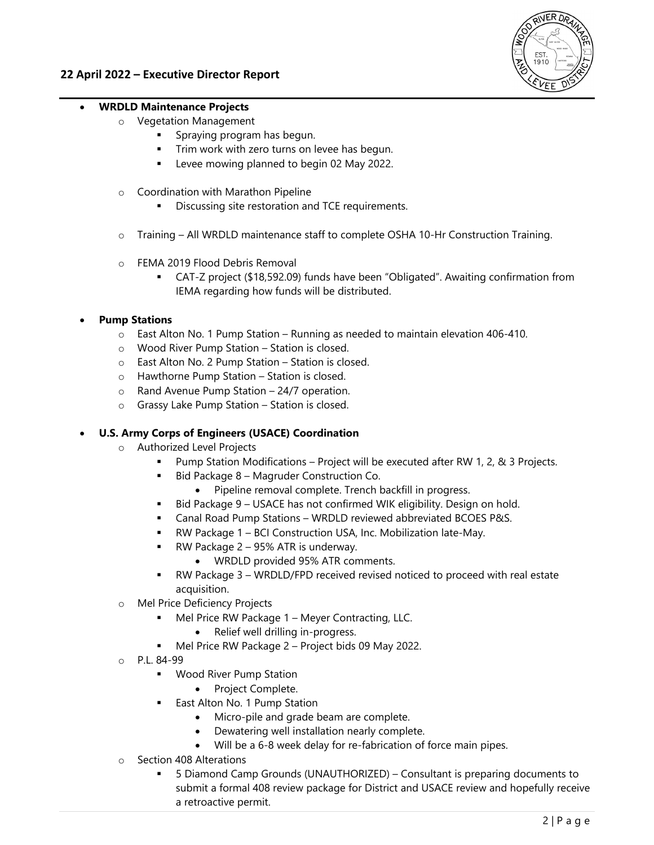

# **WRDLD Maintenance Projects**

- o Vegetation Management
	- Spraying program has begun.
	- Trim work with zero turns on levee has begun.
	- Levee mowing planned to begin 02 May 2022.
- o Coordination with Marathon Pipeline
	- **Discussing site restoration and TCE requirements.**
- o Training All WRDLD maintenance staff to complete OSHA 10-Hr Construction Training.
- o FEMA 2019 Flood Debris Removal
	- CAT-Z project (\$18,592.09) funds have been "Obligated". Awaiting confirmation from IEMA regarding how funds will be distributed.

# **Pump Stations**

- $\circ$  East Alton No. 1 Pump Station Running as needed to maintain elevation 406-410.
- o Wood River Pump Station Station is closed.
- o East Alton No. 2 Pump Station Station is closed.
- o Hawthorne Pump Station Station is closed.
- o Rand Avenue Pump Station 24/7 operation.
- o Grassy Lake Pump Station Station is closed.

# **U.S. Army Corps of Engineers (USACE) Coordination**

- o Authorized Level Projects
	- Pump Station Modifications Project will be executed after RW 1, 2, & 3 Projects.
	- Bid Package 8 Magruder Construction Co.
		- Pipeline removal complete. Trench backfill in progress.
	- Bid Package 9 USACE has not confirmed WIK eligibility. Design on hold.
	- Canal Road Pump Stations WRDLD reviewed abbreviated BCOES P&S.
	- RW Package 1 BCI Construction USA, Inc. Mobilization late-May.
	- RW Package 2 95% ATR is underway.
		- WRDLD provided 95% ATR comments.
	- RW Package 3 WRDLD/FPD received revised noticed to proceed with real estate acquisition.
- o Mel Price Deficiency Projects
	- Mel Price RW Package 1 Meyer Contracting, LLC.
		- Relief well drilling in-progress.
	- Mel Price RW Package 2 Project bids 09 May 2022.
- o P.L. 84-99
	- **Wood River Pump Station** 
		- Project Complete.
	- East Alton No. 1 Pump Station
		- Micro-pile and grade beam are complete.
		- Dewatering well installation nearly complete.
		- Will be a 6-8 week delay for re-fabrication of force main pipes.
- o Section 408 Alterations
	- 5 Diamond Camp Grounds (UNAUTHORIZED) Consultant is preparing documents to submit a formal 408 review package for District and USACE review and hopefully receive a retroactive permit.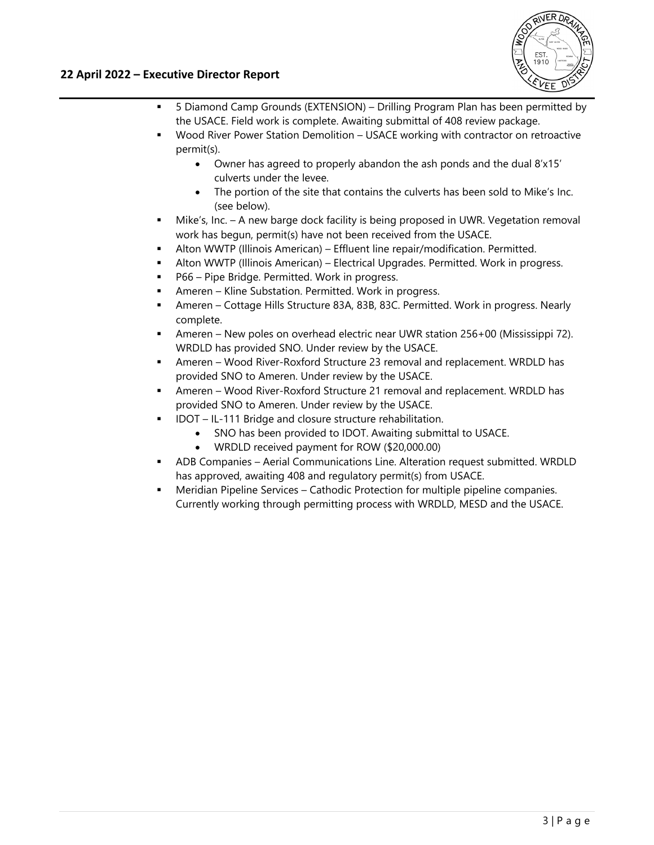# **22 April 2022 – Executive Director Report**



- 5 Diamond Camp Grounds (EXTENSION) Drilling Program Plan has been permitted by the USACE. Field work is complete. Awaiting submittal of 408 review package.
- Wood River Power Station Demolition USACE working with contractor on retroactive permit(s).
	- Owner has agreed to properly abandon the ash ponds and the dual 8'x15' culverts under the levee.
	- The portion of the site that contains the culverts has been sold to Mike's Inc. (see below).
- Mike's, Inc. A new barge dock facility is being proposed in UWR. Vegetation removal work has begun, permit(s) have not been received from the USACE.
- Alton WWTP (Illinois American) Effluent line repair/modification. Permitted.
- Alton WWTP (Illinois American) Electrical Upgrades. Permitted. Work in progress.
- P66 Pipe Bridge. Permitted. Work in progress.
- Ameren Kline Substation. Permitted. Work in progress.
- Ameren Cottage Hills Structure 83A, 83B, 83C. Permitted. Work in progress. Nearly complete.
- Ameren New poles on overhead electric near UWR station 256+00 (Mississippi 72). WRDLD has provided SNO. Under review by the USACE.
- Ameren Wood River-Roxford Structure 23 removal and replacement. WRDLD has provided SNO to Ameren. Under review by the USACE.
- Ameren Wood River-Roxford Structure 21 removal and replacement. WRDLD has provided SNO to Ameren. Under review by the USACE.
	- IDOT IL-111 Bridge and closure structure rehabilitation.
		- SNO has been provided to IDOT. Awaiting submittal to USACE.
		- WRDLD received payment for ROW (\$20,000.00)
- ADB Companies Aerial Communications Line. Alteration request submitted. WRDLD has approved, awaiting 408 and regulatory permit(s) from USACE.
- Meridian Pipeline Services Cathodic Protection for multiple pipeline companies. Currently working through permitting process with WRDLD, MESD and the USACE.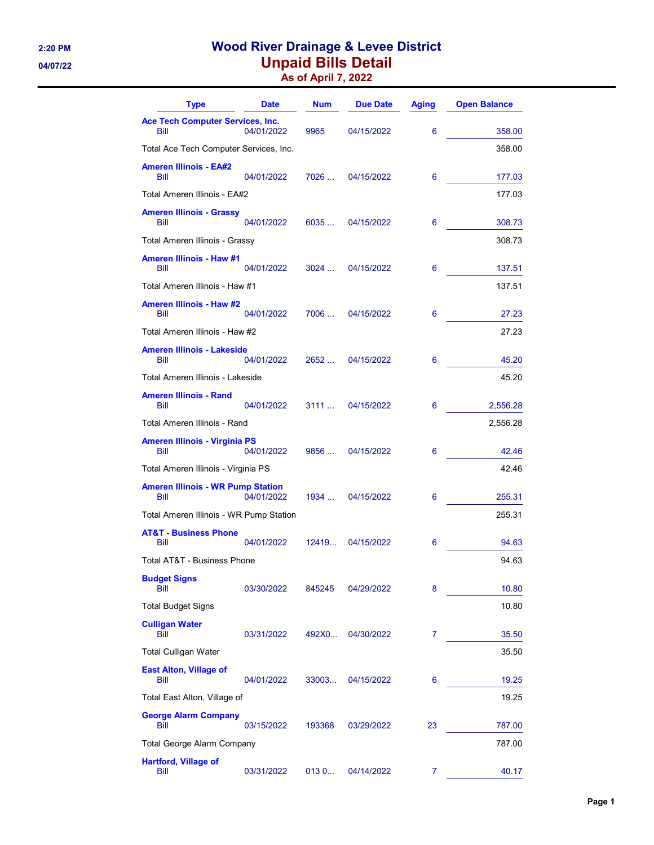# 2:20 PM Wood River Drainage & Levee District 04/07/22 **Unpaid Bills Detail**

|  |  | <b>As of April 7, 2022</b> |
|--|--|----------------------------|
|--|--|----------------------------|

| <b>Type</b>                                      | <b>Date</b> | <b>Num</b> | <b>Due Date</b> | <b>Aging</b> | <b>Open Balance</b> |
|--------------------------------------------------|-------------|------------|-----------------|--------------|---------------------|
| <b>Ace Tech Computer Services, Inc.</b><br>Bill  | 04/01/2022  | 9965       | 04/15/2022      | 6            | 358.00              |
| Total Ace Tech Computer Services, Inc.           |             |            |                 |              | 358.00              |
| <b>Ameren Illinois - EA#2</b><br>Bill            | 04/01/2022  | 7026       | 04/15/2022      | 6            | 177.03              |
| Total Ameren Illinois - EA#2                     |             |            |                 |              | 177.03              |
| <b>Ameren Illinois - Grassy</b><br>Bill          | 04/01/2022  | 6035 …     | 04/15/2022      | 6            | 308.73              |
| Total Ameren Illinois - Grassy                   |             |            |                 |              | 308.73              |
| <b>Ameren Illinois - Haw #1</b><br>Bill          | 04/01/2022  | 3024       | 04/15/2022      | 6            | 137.51              |
| Total Ameren Illinois - Haw #1                   |             |            |                 |              | 137.51              |
| <b>Ameren Illinois - Haw #2</b><br>Bill          | 04/01/2022  | 7006       | 04/15/2022      | 6            | 27.23               |
| Total Ameren Illinois - Haw #2                   |             |            |                 |              | 27.23               |
| <b>Ameren Illinois - Lakeside</b><br>Bill        | 04/01/2022  | 2652       | 04/15/2022      | 6            | 45.20               |
| Total Ameren Illinois - Lakeside                 |             |            |                 |              | 45.20               |
| <b>Ameren Illinois - Rand</b><br>Bill            | 04/01/2022  | 3111       | 04/15/2022      | 6            | 2,556.28            |
| Total Ameren Illinois - Rand                     |             |            |                 |              | 2,556.28            |
| <b>Ameren Illinois - Virginia PS</b><br>Bill     | 04/01/2022  | 9856 …     | 04/15/2022      | 6            | 42.46               |
| Total Ameren Illinois - Virginia PS              |             |            |                 |              | 42.46               |
| <b>Ameren Illinois - WR Pump Station</b><br>Bill | 04/01/2022  | 1934       | 04/15/2022      | 6            | 255.31              |
| Total Ameren Illinois - WR Pump Station          |             |            |                 |              | 255.31              |
| <b>AT&amp;T - Business Phone</b><br>Bill         | 04/01/2022  | 12419      | 04/15/2022      | 6            | 94.63               |
| Total AT&T - Business Phone                      |             |            |                 |              | 94.63               |
| <b>Budget Signs</b><br>Bill                      | 03/30/2022  | 845245     | 04/29/2022      | 8            | 10.80               |
| <b>Total Budget Signs</b>                        |             |            |                 |              | 10.80               |
| <b>Culligan Water</b><br>Bill                    | 03/31/2022  | 492X0      | 04/30/2022      | 7            | 35.50               |
| <b>Total Culligan Water</b>                      |             |            |                 |              | 35.50               |
| <b>East Alton, Village of</b><br>Bill            | 04/01/2022  | 33003      | 04/15/2022      | 6            | 19.25               |
| Total East Alton, Village of                     |             |            |                 |              | 19.25               |
| <b>George Alarm Company</b><br>Bill              | 03/15/2022  | 193368     | 03/29/2022      | 23           | 787.00              |
| Total George Alarm Company                       |             |            |                 |              | 787.00              |
| <b>Hartford, Village of</b><br>Bill              | 03/31/2022  | 013 0      | 04/14/2022      | 7            | 40.17               |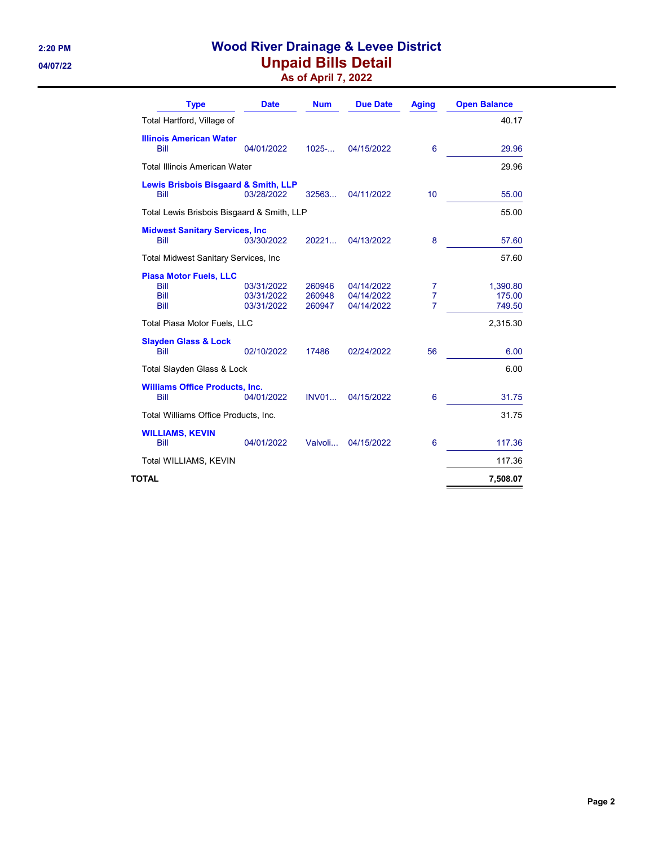# 2:20 PM **Wood River Drainage & Levee District** 04/07/22 **Unpaid Bills Detail**

As of April 7, 2022

| <b>Type</b>                                           | <b>Date</b>                            | <b>Num</b>                 | <b>Due Date</b>                        | <b>Aging</b>             | <b>Open Balance</b>          |
|-------------------------------------------------------|----------------------------------------|----------------------------|----------------------------------------|--------------------------|------------------------------|
| Total Hartford, Village of                            |                                        |                            |                                        |                          | 40.17                        |
| <b>Illinois American Water</b><br>Bill                | 04/01/2022                             | 1025                       | 04/15/2022                             | 6                        | 29.96                        |
| <b>Total Illinois American Water</b>                  |                                        |                            |                                        |                          | 29.96                        |
| Lewis Brisbois Bisgaard & Smith, LLP<br>Bill          | 03/28/2022                             | 32563                      | 04/11/2022                             | 10                       | 55.00                        |
| Total Lewis Brisbois Bisgaard & Smith, LLP            |                                        |                            |                                        |                          | 55.00                        |
| <b>Midwest Sanitary Services, Inc.</b><br><b>Bill</b> | 03/30/2022                             | 20221                      | 04/13/2022                             | 8                        | 57.60                        |
| <b>Total Midwest Sanitary Services, Inc.</b>          |                                        |                            |                                        |                          | 57.60                        |
| <b>Piasa Motor Fuels, LLC</b><br>Bill<br>Bill<br>Bill | 03/31/2022<br>03/31/2022<br>03/31/2022 | 260946<br>260948<br>260947 | 04/14/2022<br>04/14/2022<br>04/14/2022 | 7<br>$\overline{7}$<br>7 | 1,390.80<br>175.00<br>749.50 |
| Total Piasa Motor Fuels, LLC                          |                                        |                            |                                        |                          | 2,315.30                     |
| <b>Slayden Glass &amp; Lock</b><br><b>Bill</b>        | 02/10/2022                             | 17486                      | 02/24/2022                             | 56                       | 6.00                         |
| Total Slayden Glass & Lock                            |                                        |                            |                                        |                          | 6.00                         |
| <b>Williams Office Products, Inc.</b><br><b>Bill</b>  | 04/01/2022                             | INVO1                      | 04/15/2022                             | $6\phantom{1}6$          | 31.75                        |
| Total Williams Office Products, Inc.                  |                                        |                            |                                        |                          | 31.75                        |
| <b>WILLIAMS, KEVIN</b><br>Bill                        | 04/01/2022                             | Valvoli                    | 04/15/2022                             | 6                        | 117.36                       |
| Total WILLIAMS, KEVIN                                 |                                        |                            |                                        |                          | 117.36                       |
| TOTAL                                                 |                                        |                            |                                        |                          | 7,508.07                     |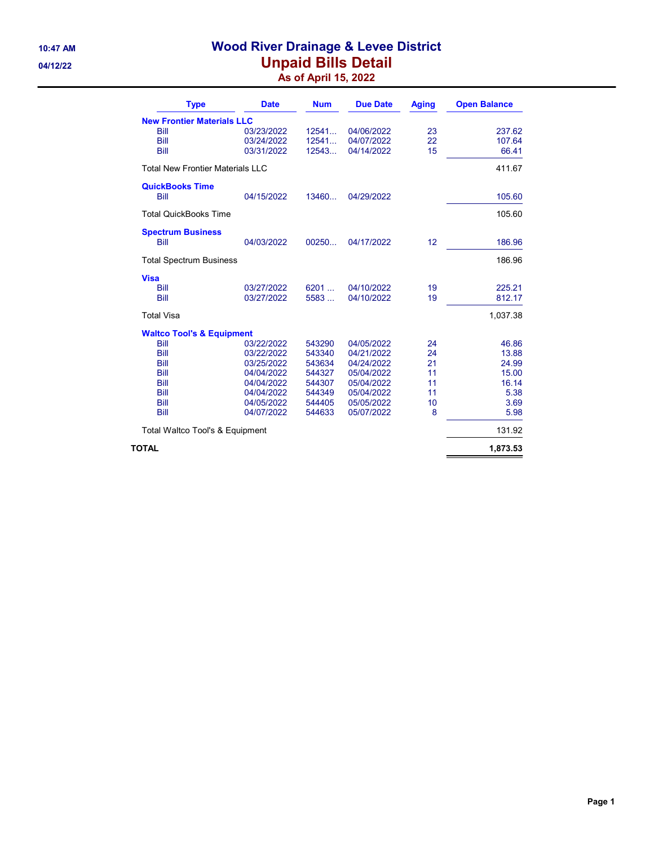# 10:47 AM Wood River Drainage & Levee District 04/12/22 **Unpaid Bills Detail** As of April 15, 2022

| <b>Type</b>                             | <b>Date</b> | <b>Num</b> | <b>Due Date</b> | <b>Aging</b> | <b>Open Balance</b> |
|-----------------------------------------|-------------|------------|-----------------|--------------|---------------------|
| <b>New Frontier Materials LLC</b>       |             |            |                 |              |                     |
| <b>Bill</b>                             | 03/23/2022  | 12541      | 04/06/2022      | 23           | 237.62              |
| Bill                                    | 03/24/2022  | 12541      | 04/07/2022      | 22           | 107.64              |
| Bill                                    | 03/31/2022  | 12543      | 04/14/2022      | 15           | 66.41               |
| <b>Total New Frontier Materials LLC</b> |             |            |                 |              | 411.67              |
| <b>QuickBooks Time</b><br>Bill          | 04/15/2022  | 13460      | 04/29/2022      |              | 105.60              |
| <b>Total QuickBooks Time</b>            |             |            |                 |              | 105.60              |
| <b>Spectrum Business</b>                |             |            |                 |              |                     |
| <b>Bill</b>                             | 04/03/2022  | 00250      | 04/17/2022      | 12           | 186.96              |
| <b>Total Spectrum Business</b>          |             |            |                 |              | 186.96              |
| <b>Visa</b>                             |             |            |                 |              |                     |
| Bill                                    | 03/27/2022  | 6201       | 04/10/2022      | 19           | 225.21              |
| Bill                                    | 03/27/2022  | 5583       | 04/10/2022      | 19           | 812.17              |
| <b>Total Visa</b>                       |             |            |                 |              | 1,037.38            |
| <b>Waltco Tool's &amp; Equipment</b>    |             |            |                 |              |                     |
| Bill                                    | 03/22/2022  | 543290     | 04/05/2022      | 24           | 46.86               |
| Bill                                    | 03/22/2022  | 543340     | 04/21/2022      | 24           | 13.88               |
| Bill                                    | 03/25/2022  | 543634     | 04/24/2022      | 21           | 24.99               |
| Bill                                    | 04/04/2022  | 544327     | 05/04/2022      | 11           | 15.00               |
| Bill                                    | 04/04/2022  | 544307     | 05/04/2022      | 11           | 16.14               |
| Bill                                    | 04/04/2022  | 544349     | 05/04/2022      | 11           | 5.38                |
| Bill                                    | 04/05/2022  | 544405     | 05/05/2022      | 10           | 3.69                |
| Bill                                    | 04/07/2022  | 544633     | 05/07/2022      | 8            | 5.98                |
| Total Waltco Tool's & Equipment         |             |            |                 |              | 131.92              |
| TOTAL                                   |             |            |                 |              | 1,873.53            |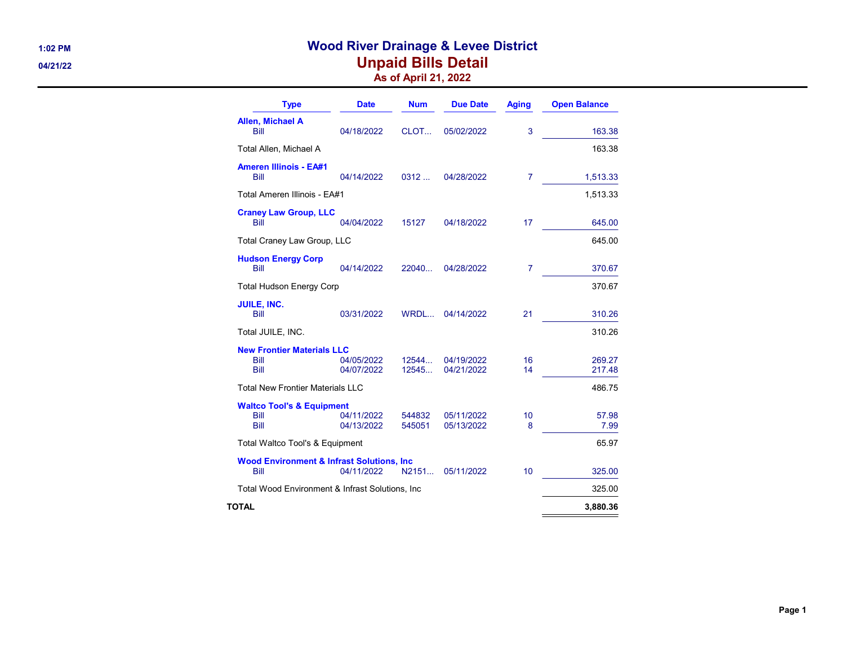# 1:02 PM Wood River Drainage & Levee District 04/21/22 **Unpaid Bills Detail** As of April 21, 2022

| <b>Type</b>                                                   | <b>Date</b>              | <b>Num</b>       | <b>Due Date</b>          | <b>Aging</b>   | <b>Open Balance</b> |
|---------------------------------------------------------------|--------------------------|------------------|--------------------------|----------------|---------------------|
| Allen, Michael A<br>Bill                                      | 04/18/2022               | CLOT             | 05/02/2022               | 3              | 163.38              |
| Total Allen, Michael A                                        |                          |                  |                          |                | 163.38              |
| <b>Ameren Illinois - EA#1</b><br>Bill                         | 04/14/2022               | 0312             | 04/28/2022               | $\overline{7}$ | 1,513.33            |
| Total Ameren Illinois - EA#1                                  |                          |                  |                          |                | 1,513.33            |
| <b>Craney Law Group, LLC</b><br>Bill                          | 04/04/2022               | 15127            | 04/18/2022               | 17             | 645.00              |
| Total Craney Law Group, LLC                                   |                          |                  |                          |                | 645.00              |
| <b>Hudson Energy Corp</b><br>Bill                             | 04/14/2022               | 22040            | 04/28/2022               | 7              | 370.67              |
| <b>Total Hudson Energy Corp</b>                               |                          |                  |                          |                | 370.67              |
| <b>JUILE, INC.</b><br>Bill                                    | 03/31/2022               | WRDL             | 04/14/2022               | 21             | 310.26              |
| Total JUILE, INC.                                             |                          |                  |                          |                | 310.26              |
| <b>New Frontier Materials LLC</b><br>Bill<br>Bill             | 04/05/2022<br>04/07/2022 | 12544<br>12545   | 04/19/2022<br>04/21/2022 | 16<br>14       | 269.27<br>217.48    |
| <b>Total New Frontier Materials LLC</b>                       |                          |                  |                          |                | 486.75              |
| <b>Waltco Tool's &amp; Equipment</b><br>Bill<br>Bill          | 04/11/2022<br>04/13/2022 | 544832<br>545051 | 05/11/2022<br>05/13/2022 | 10<br>8        | 57.98<br>7.99       |
| Total Waltco Tool's & Equipment                               |                          |                  |                          |                | 65.97               |
| <b>Wood Environment &amp; Infrast Solutions, Inc.</b><br>Bill | 04/11/2022               | N2151            | 05/11/2022               | 10             | 325.00              |
| Total Wood Environment & Infrast Solutions, Inc.              |                          |                  |                          |                | 325.00              |
| TOTAL                                                         |                          |                  |                          |                | 3,880.36            |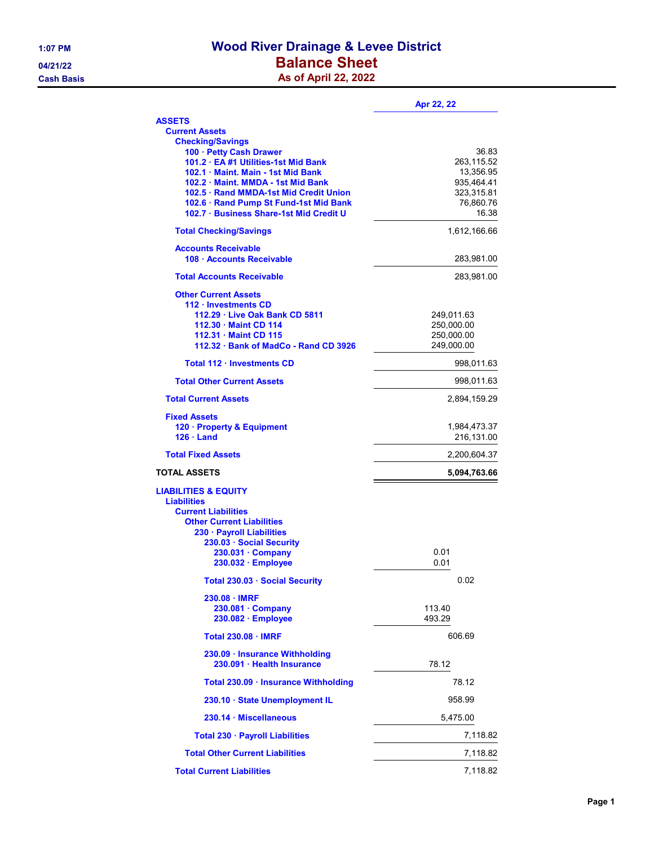# 1:07 PM Wood River Drainage & Levee District 04/21/22 **Balance Sheet Cash Basis** Cash Basis **As of April 22, 2022**

|                                                                                  | Apr 22, 22                 |
|----------------------------------------------------------------------------------|----------------------------|
| <b>ASSETS</b>                                                                    |                            |
| <b>Current Assets</b>                                                            |                            |
| <b>Checking/Savings</b><br>100 · Petty Cash Drawer                               | 36.83                      |
| 101.2 · EA #1 Utilities-1st Mid Bank                                             | 263,115.52                 |
| 102.1 · Maint. Main - 1st Mid Bank                                               | 13,356.95                  |
| 102.2 Maint, MMDA - 1st Mid Bank                                                 | 935,464.41                 |
| 102.5 · Rand MMDA-1st Mid Credit Union<br>102.6 · Rand Pump St Fund-1st Mid Bank | 323,315.81<br>76,860.76    |
| 102.7 · Business Share-1st Mid Credit U                                          | 16.38                      |
| <b>Total Checking/Savings</b>                                                    | 1,612,166.66               |
| <b>Accounts Receivable</b>                                                       |                            |
| 108 · Accounts Receivable                                                        | 283,981.00                 |
| <b>Total Accounts Receivable</b>                                                 | 283,981.00                 |
| <b>Other Current Assets</b>                                                      |                            |
| 112 · Investments CD                                                             |                            |
| 112.29 · Live Oak Bank CD 5811<br>112.30 · Maint CD 114                          | 249,011.63<br>250,000.00   |
| 112.31 · Maint CD 115                                                            | 250,000.00                 |
| 112.32 · Bank of MadCo - Rand CD 3926                                            | 249,000.00                 |
| Total 112 · Investments CD                                                       | 998,011.63                 |
| <b>Total Other Current Assets</b>                                                | 998,011.63                 |
| <b>Total Current Assets</b>                                                      | 2,894,159.29               |
| <b>Fixed Assets</b>                                                              |                            |
| 120 · Property & Equipment                                                       | 1,984,473.37               |
| $126 \cdot$ Land<br><b>Total Fixed Assets</b>                                    | 216,131.00<br>2,200,604.37 |
| <b>TOTAL ASSETS</b>                                                              | 5,094,763.66               |
| <b>LIABILITIES &amp; EQUITY</b>                                                  |                            |
| <b>Liabilities</b>                                                               |                            |
| <b>Current Liabilities</b>                                                       |                            |
| <b>Other Current Liabilities</b>                                                 |                            |
| 230 · Payroll Liabilities<br>230.03 · Social Security                            |                            |
| 230.031 · Company                                                                | 0.01                       |
| 230.032 · Employee                                                               | 0.01                       |
| Total 230.03 · Social Security                                                   | 0.02                       |
| $230.08 \cdot$ IMRF                                                              |                            |
| $230.081 \cdot$ Company<br>230.082 · Employee                                    | 113.40<br>493.29           |
| <b>Total 230.08 · IMRF</b>                                                       | 606.69                     |
| 230.09 · Insurance Withholding                                                   |                            |
| 230.091 · Health Insurance                                                       | 78.12                      |
| Total 230.09 · Insurance Withholding                                             | 78.12                      |
| 230.10 · State Unemployment IL                                                   | 958.99                     |
| 230.14 · Miscellaneous                                                           | 5,475.00                   |
| Total 230 · Payroll Liabilities                                                  | 7,118.82                   |
| <b>Total Other Current Liabilities</b>                                           | 7,118.82                   |
| <b>Total Current Liabilities</b>                                                 | 7,118.82                   |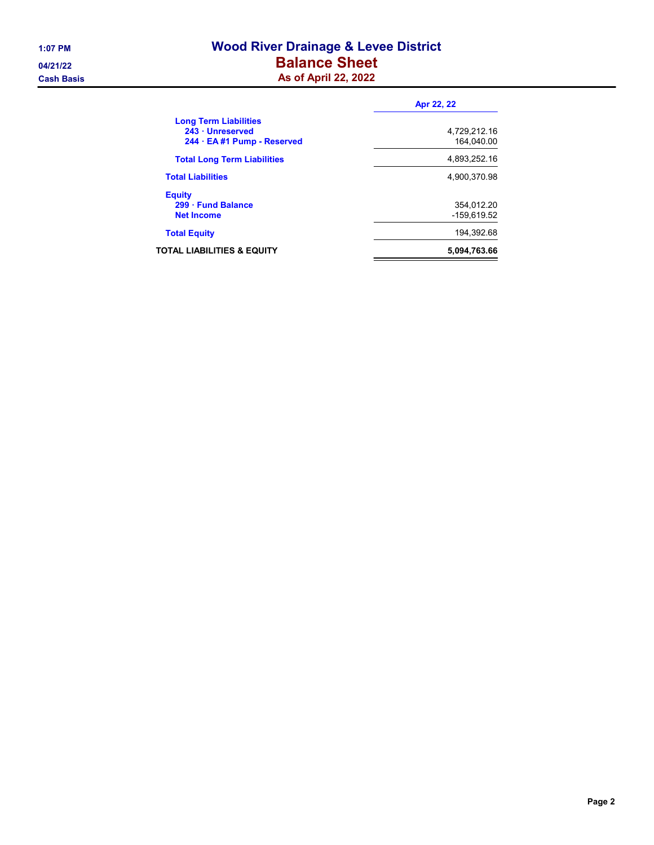# 1:07 PM Wood River Drainage & Levee District 04/21/22 **Balance Sheet Cash Basis** Cash Basis **As of April 22, 2022**

|                                                                                 | Apr 22, 22                 |
|---------------------------------------------------------------------------------|----------------------------|
| <b>Long Term Liabilities</b><br>243 · Unreserved<br>244 · EA #1 Pump - Reserved | 4.729.212.16<br>164.040.00 |
| <b>Total Long Term Liabilities</b>                                              | 4.893.252.16               |
| <b>Total Liabilities</b>                                                        | 4.900.370.98               |
| <b>Equity</b><br>299 · Fund Balance<br><b>Net Income</b>                        | 354,012.20<br>-159.619.52  |
| <b>Total Equity</b>                                                             | 194.392.68                 |
| TOTAL LIABILITIES & EQUITY                                                      | 5,094,763.66               |
|                                                                                 |                            |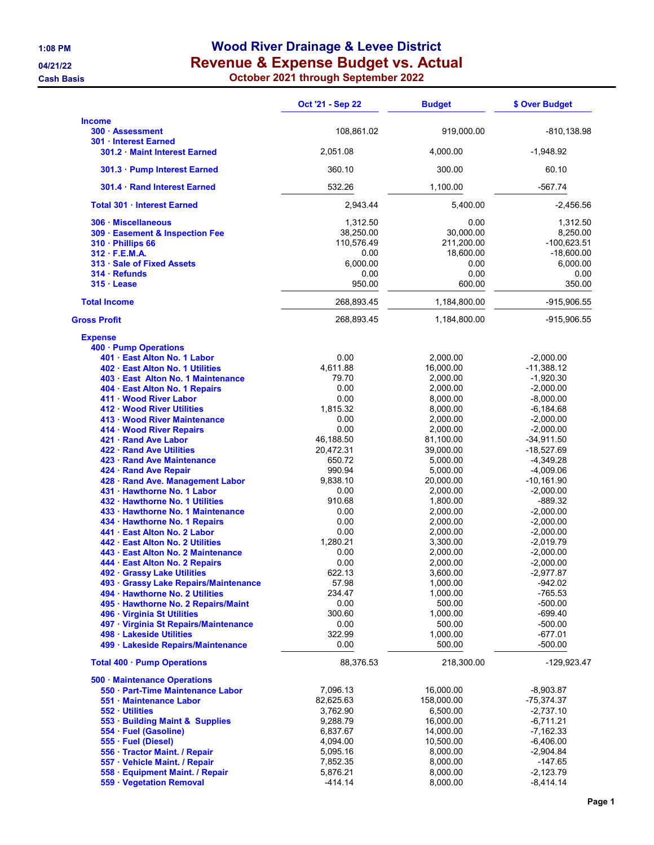# 1:08 PM Wood River Drainage & Levee District 04/21/22 **Revenue & Expense Budget vs. Actual**

Cash Basis October 2021 through September 2022

|                                                                                                                                                                                                                                                                                                                                                                                                                                                                                                                                                                                                                                                                                                                                                                                                                                                                                                                                                                                                                                        | Oct '21 - Sep 22                                                                                                                                                                                                                                                               | <b>Budget</b>                                                                                                                                                                                                                                                                                                                                          | \$ Over Budget                                                                                                                                                                                                                                                                                                                                                                                                             |
|----------------------------------------------------------------------------------------------------------------------------------------------------------------------------------------------------------------------------------------------------------------------------------------------------------------------------------------------------------------------------------------------------------------------------------------------------------------------------------------------------------------------------------------------------------------------------------------------------------------------------------------------------------------------------------------------------------------------------------------------------------------------------------------------------------------------------------------------------------------------------------------------------------------------------------------------------------------------------------------------------------------------------------------|--------------------------------------------------------------------------------------------------------------------------------------------------------------------------------------------------------------------------------------------------------------------------------|--------------------------------------------------------------------------------------------------------------------------------------------------------------------------------------------------------------------------------------------------------------------------------------------------------------------------------------------------------|----------------------------------------------------------------------------------------------------------------------------------------------------------------------------------------------------------------------------------------------------------------------------------------------------------------------------------------------------------------------------------------------------------------------------|
| <b>Income</b><br>300 · Assessment                                                                                                                                                                                                                                                                                                                                                                                                                                                                                                                                                                                                                                                                                                                                                                                                                                                                                                                                                                                                      | 108,861.02                                                                                                                                                                                                                                                                     | 919,000.00                                                                                                                                                                                                                                                                                                                                             | -810,138.98                                                                                                                                                                                                                                                                                                                                                                                                                |
| 301 · Interest Earned<br>301.2 · Maint Interest Earned                                                                                                                                                                                                                                                                                                                                                                                                                                                                                                                                                                                                                                                                                                                                                                                                                                                                                                                                                                                 | 2,051.08                                                                                                                                                                                                                                                                       | 4,000.00                                                                                                                                                                                                                                                                                                                                               | -1,948.92                                                                                                                                                                                                                                                                                                                                                                                                                  |
| 301.3 · Pump Interest Earned                                                                                                                                                                                                                                                                                                                                                                                                                                                                                                                                                                                                                                                                                                                                                                                                                                                                                                                                                                                                           | 360.10                                                                                                                                                                                                                                                                         | 300.00                                                                                                                                                                                                                                                                                                                                                 | 60.10                                                                                                                                                                                                                                                                                                                                                                                                                      |
| 301.4 · Rand Interest Earned                                                                                                                                                                                                                                                                                                                                                                                                                                                                                                                                                                                                                                                                                                                                                                                                                                                                                                                                                                                                           | 532.26                                                                                                                                                                                                                                                                         | 1,100.00                                                                                                                                                                                                                                                                                                                                               | -567.74                                                                                                                                                                                                                                                                                                                                                                                                                    |
| Total 301 · Interest Earned                                                                                                                                                                                                                                                                                                                                                                                                                                                                                                                                                                                                                                                                                                                                                                                                                                                                                                                                                                                                            | 2,943.44                                                                                                                                                                                                                                                                       | 5,400.00                                                                                                                                                                                                                                                                                                                                               | $-2,456.56$                                                                                                                                                                                                                                                                                                                                                                                                                |
| 306 · Miscellaneous<br>309 · Easement & Inspection Fee<br>310 · Phillips 66<br>$312 \cdot F.E.M.A.$<br>313 · Sale of Fixed Assets<br>$314 \cdot$ Refunds<br>$315 \cdot$ Lease                                                                                                                                                                                                                                                                                                                                                                                                                                                                                                                                                                                                                                                                                                                                                                                                                                                          | 1,312.50<br>38,250.00<br>110,576.49<br>0.00<br>6,000.00<br>0.00<br>950.00                                                                                                                                                                                                      | 0.00<br>30,000.00<br>211,200.00<br>18,600.00<br>0.00<br>0.00<br>600.00                                                                                                                                                                                                                                                                                 | 1,312.50<br>8,250.00<br>$-100,623.51$<br>$-18,600.00$<br>6,000.00<br>0.00<br>350.00                                                                                                                                                                                                                                                                                                                                        |
| <b>Total Income</b>                                                                                                                                                                                                                                                                                                                                                                                                                                                                                                                                                                                                                                                                                                                                                                                                                                                                                                                                                                                                                    | 268,893.45                                                                                                                                                                                                                                                                     | 1,184,800.00                                                                                                                                                                                                                                                                                                                                           | -915,906.55                                                                                                                                                                                                                                                                                                                                                                                                                |
| <b>Gross Profit</b>                                                                                                                                                                                                                                                                                                                                                                                                                                                                                                                                                                                                                                                                                                                                                                                                                                                                                                                                                                                                                    | 268,893.45                                                                                                                                                                                                                                                                     | 1,184,800.00                                                                                                                                                                                                                                                                                                                                           | -915,906.55                                                                                                                                                                                                                                                                                                                                                                                                                |
| <b>Expense</b><br>400 · Pump Operations<br>401 · East Alton No. 1 Labor<br>402 · East Alton No. 1 Utilities<br>403 · East Alton No. 1 Maintenance<br>404 · East Alton No. 1 Repairs<br>411 · Wood River Labor<br>412 · Wood River Utilities<br>413 · Wood River Maintenance<br>414 · Wood River Repairs<br>421 · Rand Ave Labor<br>422 · Rand Ave Utilities<br>423 · Rand Ave Maintenance<br>424 · Rand Ave Repair<br>428 · Rand Ave. Management Labor<br>431 · Hawthorne No. 1 Labor<br>432 · Hawthorne No. 1 Utilities<br>433 · Hawthorne No. 1 Maintenance<br>434 · Hawthorne No. 1 Repairs<br>441 · East Alton No. 2 Labor<br>442 · East Alton No. 2 Utilities<br>443 · East Alton No. 2 Maintenance<br>444 · East Alton No. 2 Repairs<br>492 · Grassy Lake Utilities<br>493 · Grassy Lake Repairs/Maintenance<br>494 · Hawthorne No. 2 Utilities<br>495 · Hawthorne No. 2 Repairs/Maint<br>496 · Virginia St Utilities<br>497 · Virginia St Repairs/Maintenance<br>498 · Lakeside Utilities<br>499 · Lakeside Repairs/Maintenance | 0.00<br>4,611.88<br>79.70<br>0.00<br>0.00<br>1,815.32<br>0.00<br>0.00<br>46,188.50<br>20,472.31<br>650.72<br>990.94<br>9,838.10<br>0.00<br>910.68<br>0.00<br>0.00<br>0.00<br>1,280.21<br>0.00<br>0.00<br>622.13<br>57.98<br>234.47<br>0.00<br>300.60<br>0.00<br>322.99<br>0.00 | 2,000.00<br>16,000.00<br>2,000.00<br>2,000.00<br>8,000.00<br>8,000.00<br>2,000.00<br>2,000.00<br>81,100.00<br>39,000.00<br>5,000.00<br>5,000.00<br>20,000.00<br>2,000.00<br>1,800.00<br>2,000.00<br>2,000.00<br>2,000.00<br>3,300.00<br>2,000.00<br>2,000.00<br>3,600.00<br>1,000.00<br>1,000.00<br>500.00<br>1,000.00<br>500.00<br>1,000.00<br>500.00 | $-2,000.00$<br>$-11,388.12$<br>$-1,920.30$<br>$-2,000.00$<br>$-8,000.00$<br>-6,184.68<br>$-2,000.00$<br>$-2,000.00$<br>$-34,911.50$<br>$-18,527.69$<br>$-4,349.28$<br>$-4,009.06$<br>$-10, 161.90$<br>$-2,000.00$<br>-889.32<br>$-2,000.00$<br>$-2,000.00$<br>$-2,000.00$<br>$-2,019.79$<br>$-2,000.00$<br>$-2,000.00$<br>$-2,977.87$<br>-942.02<br>$-765.53$<br>$-500.00$<br>-699.40<br>-500.00<br>$-677.01$<br>$-500.00$ |
| Total 400 · Pump Operations<br>500 · Maintenance Operations<br>550 · Part-Time Maintenance Labor<br>551 · Maintenance Labor<br>552 · Utilities<br>553 · Building Maint & Supplies<br>554 · Fuel (Gasoline)<br>555 · Fuel (Diesel)<br>556 · Tractor Maint. / Repair<br>557 · Vehicle Maint. / Repair<br>558 · Equipment Maint. / Repair                                                                                                                                                                                                                                                                                                                                                                                                                                                                                                                                                                                                                                                                                                 | 88,376.53<br>7,096.13<br>82,625.63<br>3,762.90<br>9,288.79<br>6,837.67<br>4,094.00<br>5,095.16<br>7,852.35<br>5,876.21                                                                                                                                                         | 218,300.00<br>16,000.00<br>158,000.00<br>6,500.00<br>16,000.00<br>14,000.00<br>10,500.00<br>8,000.00<br>8,000.00<br>8,000.00                                                                                                                                                                                                                           | -129,923.47<br>$-8,903.87$<br>-75,374.37<br>$-2,737.10$<br>$-6,711.21$<br>-7,162.33<br>$-6,406.00$<br>$-2,904.84$<br>$-147.65$<br>$-2,123.79$                                                                                                                                                                                                                                                                              |
| 559 · Vegetation Removal                                                                                                                                                                                                                                                                                                                                                                                                                                                                                                                                                                                                                                                                                                                                                                                                                                                                                                                                                                                                               | $-414.14$                                                                                                                                                                                                                                                                      | 8,000.00                                                                                                                                                                                                                                                                                                                                               | $-8,414.14$                                                                                                                                                                                                                                                                                                                                                                                                                |